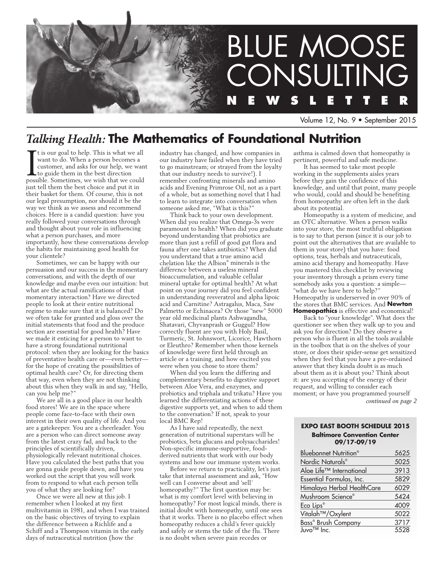

Volume 12, No. 9 • September 2015

# *Talking Health:* **The Mathematics of Foundational Nutrition**

It is our goal to help. This is what we all want to do. When a person becomes a customer, and asks for our help, we want to guide them in the best direction possible. Sometimes, we wish that we could t is our goal to help. This is what we all want to do. When a person becomes a customer, and asks for our help, we want to guide them in the best direction just tell them the best choice and put it in their basket for them. Of course, this is not our legal presumption, nor should it be the way we think as we assess and recommend choices. Here is a candid question: have you really followed your conversations through and thought about your role in influencing what a person purchases, and more importantly, how these conversations develop the habits for maintaining good health for your clientele?

Sometimes, we can be happy with our persuasion and our success in the momentary conversations, and with the depth of our knowledge and maybe even our intuition: but what are the actual ramifications of that momentary interaction? Have we directed people to look at their entire nutritional regime to make sure that it is balanced? Do we often take for granted and gloss over the initial statements that food and the produce section are essential for good health? Have we made it enticing for a person to want to have a strong foundational nutritional protocol: when they are looking for the basics of preventative health care or—even better for the hope of creating the possibilities of optimal health care? Or, for directing them that way, even when they are not thinking about this when they walk in and say, "Hello, can you help me?"

We are all in a good place in our health food stores! We are in the space where people come face-to-face with their own interest in their own quality of life. And you are a gatekeeper. You are a cheerleader. You are a person who can direct someone away from the latest crazy fad, and back to the principles of scientifically driven, physiologically relevant nutritional choices. Have you calculated the best paths that you are gonna guide people down, and have you worked out the script that you will work from to respond to what each person tells you of what they are looking for?

Once we were all new at this job. I remember when I looked at my first multivitamin in 1981, and when I was trained on the basic objectives of trying to explain the difference between a Richlife and a Schiff and a Thompson vitamin in the early days of nutraceutical nutrition (how the

industry has changed, and how companies in our industry have failed when they have tried to go mainstream; or strayed from the loyalty that our industry needs to survive!). I remember confronting minerals and amino acids and Evening Primrose Oil, not as a part of a whole, but as something novel that I had to learn to integrate into conversation when someone asked me, "What is this?"

Think back to your own development. When did you realize that Omega-3s were paramount to health? When did you graduate beyond understanding that probiotics are more than just a refill of good gut flora and fauna after one takes antibiotics? When did you understand that a true amino acid chelation like the Albion® minerals is the difference between a useless mineral bioaccumulation, and valuable cellular mineral uptake for optimal health? At what point on your journey did you feel confident in understanding resveratrol and alpha lipoic acid and Carnitine? Astragalus, Maca, Saw Palmetto or Echinacea? Or those "new" 5000 year old medicinal plants Ashwagandha, Shatavari, Chyvanprash or Guggul? How correctly fluent are you with Holy Basil, Turmeric, St. Johnswort, Licorice, Hawthorn or Eleuthro? Remember when those kernels of knowledge were first held through an article or a training, and how excited you were when you chose to store them?

When did you learn the differing and complementary benefits to digestive support between Aloe Vera, and enzymes, and probiotics and triphala and trikatu? Have you learned the differentiating actions of these digestive supports yet, and when to add them to the conversation? If not, speak to your local BMC Rep!

As I have said repeatedly, the next generation of nutritional superstars will be probiotics, beta glucans and polysaccharides! Non-specific immune-supportive, foodderived nutrients that work with our body systems and how our immune system works.

Before we return to practicality, let's just take that internal assessment and ask, "How well can I converse about and 'sell' homeopathy?" The first question may be: what is my comfort level with believing in homeopathy? For most logical minds, there is initial doubt with homeopathy, until one sees that it works. There is no placebo effect when homeopathy reduces a child's fever quickly and safely or stems the tide of the flu. There is no doubt when severe pain recedes or

asthma is calmed down that homeopathy is pertinent, powerful and safe medicine.

It has seemed to take most people working in the supplements aisles years before they gain the confidence of this knowledge, and until that point, many people who would, could and should be benefiting from homeopathy are often left in the dark about its potential.

Homeopathy is a system of medicine, and an OTC alternative. When a person walks into your store, the most truthful obligation is to say to that person (since it is our job to point out the alternatives that are available to them in your store) that you have: food options, teas, herbals and nutraceuticals, amino acid therapy and homeopathy. Have you mastered this checklist by reviewing your inventory through a prism every time somebody asks you a question: a simple— "what do we have here to help? Homeopathy is underserved in over 90% of the stores that BMC services. And **Newton Homeopathics** is effective and economical!

Back to "your knowledge". What does the questioner see when they walk up to you and ask you for direction? Do they observe a person who is fluent in all the tools available in the toolbox that is on the shelves of your store, or does their spider-sense get sensitized when they feel that you have a pre-ordained answer that they kinda doubt is as much about them as it is about you? Think about it: are you accepting of the energy of their request, and willing to consider each moment; or have you programmed yourself *continued on page 2*

### **EXPO EAST BOOTH SCHEDULE 2015 Baltimore Convention Center 09/17-09/19**

| Bluebonnet Nutrition®         | 5625 |
|-------------------------------|------|
| Nordic Naturals®              | 5025 |
| Aloe Life™ International      | 3913 |
| Essential Formulas, Inc.      | 5829 |
| Himalaya Herbal HealthCare    | 6029 |
| Mushroom Science®             | 5424 |
| Eco Lips <sup>®</sup>         | 4009 |
| Vitalah <sup>™</sup> /Oxylent | 5022 |
| Bass® Brush Company           | 3717 |
| Juvo <sup>™</sup> Inc.        | 5528 |
|                               |      |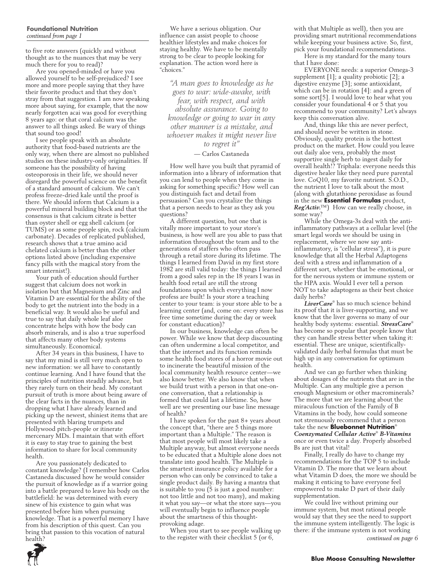#### **Foundational Nutrition**  *continued from page 1*

to five rote answers (quickly and without thought as to the nuances that may be very much there for you to read)?

Are you opened-minded or have you allowed yourself to be self-prejudiced? I see more and more people saying that they have their favorite product and that they don't stray from that suggestion. I am now speaking more about saying, for example, that the now nearly forgotten acai was good for everything 8 years ago: or that coral calcium was the answer to all things asked. Be wary of things that sound too good!

I see people speak with an absolute authority that food-based nutrients are the only way, when there are almost no published studies on these industry-only originalities. If someone has the possibility of having osteoporosis in their life, we should never disregard the powerful science on the benefit of a standard amount of calcium. We can't profess freeze-dried kale until the proof is there. We should inform that Calcium is a powerful mineral building block and that the consensus is that calcium citrate is better than oyster shell or egg shell calcium (or TUMS) or as some people spin, rock (calcium carbonate). Decades of replicated published, research shows that a true amino acid chelated calcium is better than the other options listed above (including expensive fancy pills with the magical story from the smart internist!).

Your path of education should further suggest that calcium does not work in isolation but that Magnesium and Zinc and Vitamin D are essential for the ability of the body to get the nutrient into the body in a beneficial way. It would also be useful and true to say that daily whole leaf aloe concentrate helps with how the body can absorb minerals, and is also a true superfood that affects many other body systems simultaneously. Economical.

After 34 years in this business, I have to say that my mind is still very much open to new information: we all have to constantly continue learning. And I have found that the principles of nutrition steadily advance, but they rarely turn on their head. My constant pursuit of truth is more about being aware of the clear facts in the nuances, than in dropping what I have already learned and picking up the newest, shiniest items that are presented with blaring trumpets and Hollywood pitch-people or itinerate mercenary MDs. I maintain that with effort it is easy to stay true to gaining the best information to share for local community health.

Are you passionately dedicated to constant knowledge? (I remember how Carlos Castaneda discussed how he would consider the pursuit of knowledge as if a warrior going into a battle prepared to leave his body on the battlefield: he was determined with every sinew of his existence to gain what was presented before him when pursuing knowledge. That is a powerful memory I have from his description of this quest. Can you bring that passion to this vocation of natural health?

We have a serious obligation. Our influence can assist people to choose healthier lifestyles and make choices for staying healthy. We have to be mentally strong to be clear to people looking for explanation. The action word here is "choices."

*"A man goes to knowledge as he goes to war: wide-awake, with fear, with respect, and with absolute assurance. Going to knowledge or going to war in any other manner is a mistake, and whoever makes it might never live to regret it"*

#### — Carlos Castaneda

How well have you built that pyramid of information into a library of information that you can lend to people when they come in asking for something specific? How well can you distinguish fact and detail from persuasion? Can you crystalize the things that a person needs to hear as they ask you questions?

A different question, but one that is vitally more important to your store's business, is how well are you able to pass that information throughout the team and to the generations of staffers who often pass through a retail store during its lifetime. The things I learned from David in my first store 1982 are still valid today: the things I learned from a good sales rep in the 18 years I was in health food retail are still the strong foundations upon which everything I now profess are built! Is your store a teaching center to your team: is your store able to be a learning center (and, come on: every store has free time sometime during the day or week for constant education)?

In our business, knowledge can often be power. While we know that deep discounting can often undermine a local competitor, and that the internet and its function reminds some health food stores of a horror movie out to incinerate the beautiful mission of the local community health resource center—we also know better. We also know that when we build trust with a person in that one-onone conversation, that a relationship is formed that could last a lifetime. So, how well are we presenting our base line message of health?

I have spoken for the past 8+ years about the concept that, "there are 5 things more important than a Multiple." The reason is that most people will most likely take a Multiple anyway, but almost everyone needs to be educated that a Multiple alone does not translate into good health. The Multiple is the smartest insurance policy available for a person who can only be convinced to take a single product daily. By having a mantra that is suitable to you (5 is just a good number: not too little and not too many), and making it what you say—or what the store says—you will eventually begin to influence people about the smartness of this thoughtprovoking adage.

When you start to see people walking up to the register with their checklist 5 (or  $\ddot{6}$ ,

with that Multiple as well), then you are providing smart nutritional recommendations while keeping your business active. So, first, pick your foundational recommendations.

Here is my standard for the many tours that I have done:

EVERYONE needs: a superior Omega-3 supplement [1]; a quality probiotic [2]; a digestive enzyme [3]; some antioxidant, which can be in rotation [4]: and a green of some sort[5]. I would love to hear what you consider your foundational 4 or 5 that you recommend to your community? Let's always keep this conversation alive.

And, things like this are never perfect, and should never be written in stone. Obviously, quality protein is the hottest product on the market. How could you leave out daily aloe vera, probably the most supportive single herb to ingest daily for overall health!? Triphala: everyone needs this digestive healer like they need pure parental love. CoQ10, my favorite nutrient. S.O.D., the nutrient I love to talk about the most (along with glutathione peroxidase as found in the new **Essential Formulas** product, *Reg'Activ.*™) How can we really choose, in some way?

While the Omega-3s deal with the antiinflammatory pathways at a cellular level (the smart legal words we should be using in replacement, where we now say antiinflammatory, is "cellular stress"), it is pure knowledge that all the Herbal Adaptogens deal with a stress and inflammation of a different sort, whether that be emotional, or for the nervous system or immune system or the HPA axis. Would I ever tell a person NOT to take adaptogens as their best choice daily herbs?

*LiverCare*® has so much science behind its proof that it is liver-supporting, and we know that the liver governs so many of our healthy body systems: essential. *StressCare*® has become so popular that people know that they can handle stress better when taking it: essential. These are unique, scientificallyvalidated daily herbal formulas that must be high up in any conversation for optimum health.

And we can go further when thinking about dosages of the nutrients that are in the Multiple. Can any multiple give a person enough Magnesium or other macrominerals? The more that we are learning about the miraculous function of the Family of B Vitamins in the body, how could someone not strenuously recommend that a person take the new **Bluebonnet Nutrition**® *Coenzymated Cellular Active*®  *B-Vitamins*  once or even twice a day. Properly absorbed Bs are just that vital!

Finally, I really do have to change my recommendations for the TOP 5 to include Vitamin D. The more that we learn about what Vitamin D does, the more we should be making it enticing to have everyone feel empowered to make D part of their daily supplementation.

We could live without priming our immune system, but most rational people would say that they see the need to support the immune system intelligently. The logic is there: if the immune system is not working

*continued on page 6*

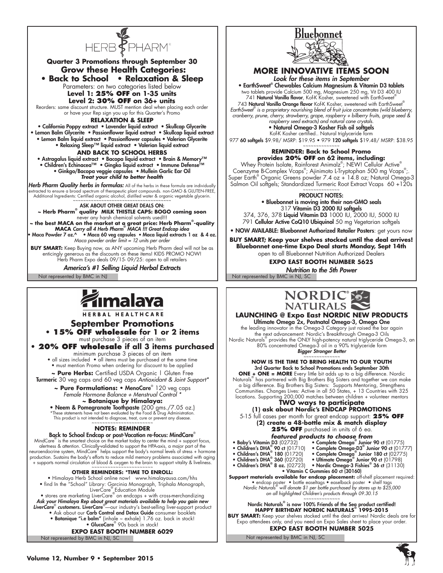

**Quarter 3 Promotions through September 30 Grow these Health Categories: • Back to School • Relaxation & Sleep** Parameters: on two categories listed below **Level 1: 25% OFF on 1-35 units Level 2: 30% OFF on 36+ units** Reorders: same discount structure. MUST mention deal when placing each order or have your Rep sign you up for this Quarter's Promo **Relaxation & Sleep** • California Poppy extract • Lavender liquid extract • Skullcap Glycerite • Lemon Balm Glycerite • Passionflower liquid extract • Skullcap liquid extract • Lemon Balm liquid extract • Passionflower capsules • Valerian Glycerite • Relaxing Sleep™ liquid extract • Valerian liquid extract **AND Back to School Herbs** • Astragalus liquid extract • Bacopa liquid extract • Brain & Memory™ • Children's Echinacea™ • Gingko liquid extract • Immune Defense™ • Ginkgo/Bacopa veggie capsules • Mullein Garlic Ear Oil *Treat your child to better health Herb Pharm Quality herbs in formulas:* All of the herbs in these formula are individually extracted to ensure a broad spectrum of therapeutic plant compounds. non-GMO & GLUTEN-FREE,<br>Additional Ingredients: Certified organic conol, distilled water & organic vegetable glycerin.<br>~~~~~~~~~~~~~~~~~~~~~~~~~~~~~~~~~~~ ASK ABOUT OTHER GREAT DEALS ON: **~ Herb Pharm® quality MILK THISTLE CAPS: BOGO coming soon** never any harsh chemical solvents used!!! with the sest MACA on the market at a great price: Herb Pharm  $\degree$ -quality<br>MACA Carry all 4 Herb Pharm  $\degree$  MACA !!! Great Endcap idea<br>• Maca Powder 7 oz.^ • Maca 60 veg capsules • Maca liquid extracts 1 oz & 4 oz. *Maca powder order limit = 12 units per order* **BUY SMART:** Keep Buying now, as ANY upcoming Herb Pharm deal will not be as enticingly generous as the discounts on these items! KIDS PROMO NOW! Herb Pharm Expo deals 09/15- 09/25: open to all retailers

*America's #1 Selling Liquid Herbal Extracts*

Not represented by BMC in NJ Not represented by BMC in NJ, SC

# malaya

HERBAL HEALTHCARE

# **September Promotions**

**• 15% OFF wholesale for 1 or 2 items** must purchase 3 pieces of an item

# **• 20% OFF wholesale if all 3 items purchased**

minimum purchase 3 pieces of an item • all sizes included • all items must be purchased at the same time

• must mention Promo when ordering for discount to be applied **~ Pure Herbs:** Certified USDA Organic | Gluten Free

Turmeric 30 veg caps and 60 veg caps *Antioxidant & Joint Support\**

**~ Pure Formulations:** • MenoCare® 120 veg caps *Female Hormone Balance + Menstrual Control \** **~ Botanique by Himalaya:**

• Neem & Pomegranate Toothpaste (200 gms./7.05 oz.)<br>\*These statements have not been evaluated by the Food & Drug Administration.

This product is not intended to diagnose, treat, cure or prevent any disease. ~~~~~~~~~~~~~~~~~~~~~

# **NOTES: REMINDER**

Back to School Endcap or post-Vacation re-focus: MindCare® MindCare® is the smartest choice on the market today to center the mind + support focus, alertness & attention. Clinically-validated to support the HPA-axis, a major part of the neuroendocrine system, MindCare® helps support the body's normal levels of stress + hormone production. Sustains the body's efforts to reduce mild memory problems associated with aging<br>+ supports normal circulation of blood & oxygen to the brain to support vitality & liveliness.<br>~~~~~~~~~~~~~~~~~~~~~~~~~~~~~~~~~~

# **OTHER REMINDERS: \*TIME TO ENROLL:**

• Himalaya Herb School online now! www.himalayausa.com/hhs • find In the "School" Library: Garcinia Monograph, Triphala Monograph, LiverCare® Education Module • stores are marketing LiverCare® on endcaps + with cross-merchandizing

*Ask your Himalaya Rep about great materials available to help you gain new LiverCare*®  *customers.* LiverCare® —our industry's best-selling liver-support product

- Ask about our Carb Control and Detox Guide consumer booklets
- Botanique "i.e balm" {inhale ~ exhale} 1.76 oz. back in stock! GlucoCare® 90s back in stock!

# **EXPO EAST BOOTH NUMBER 6029**

Not represented by BMC in NJ, SC



# **MORE INNOVATIVE ITEMS SOON** *Look for these items in September*

• EarthSweet® Chewables Calcium Magnesium & Vitamin D3 tablets

two tablets provide Calcium 500 mg, Magnesium 250 mg, Vit D3 400 IU<br>©741 **Natural Vanilla flavor**, Kof-K Kosher, sweetened with EarthSweet 743 Natural Vanilla Orange flavor Kof-K Kosher, sweetened with EarthSweet® *EarthSweet® is a proprietary nourishing blend of fruit juice concentrates (wild blueberry, cranberry, prune, cherry, strawberry, grape, raspberry + bilberry fruits, grape seed & raspberry seed extracts) and natural cane crystals.*

# • Natural Omega-3 Kosher Fish oil softgels

Kof-K Kosher certified.. Natural triglyceride form 977 60 softgels \$9.98/ MSRP: \$19.95 · 979 120 softgels \$19.48/ MSRP: \$38.95

# ~~~~~~~~~~~~~~ **REMINDER: Back to School Promo**

**provides 20% OFF on 62 items, including:** Whey Protein Isolate, Rainforest Animalz® ; NEW! Cellular Active® Coenzyme B-Complex Vcaps® ; Ajinimoto L-Tryptophan 500 mg Vcaps® ;. Super Earth® Organic Greens powder 7.4 oz + 14.8 oz; Natural Omega-3 Salmon Oil softgels; Standardized Turmeric Root Extract Vcaps 60 +120s

#### ~~~~~~~~~~~~~~ PRODUCT NOTES:

• Bluebonnet is moving into their non-GMO seals 317 Vitamin D3 2000 IU softgels 374, 376, 378 Liquid Vitamin D3 1000 IU, 2000 IU, 5000 IU

791 Cellular Active CoQ10 Ubiquinol 50 mg Vegetarian softgels

• NOW AVAILABLE: Bluebonnet Authorized Retailer Posters: get yours now

**BUY SMART; Keep your shelves stocked until the deal arrives! Bluebonnet one-time Expo Deal starts Monday, Sept 14th** open to all Bluebonnet Nutrition Authorized Dealers

**EXPO EAST BOOTH NUMBER 5625**

*Nutrition to the 5th Power*



# **LAUNCHING @ Expo East NORDIC NEW PRODUCTS**

Ultimate Omega 2x, Postnatal Omega-3, Omega One the leading innovator in the Omega-3 Category just raised the bar again the next advancement: Nordic's Breakthrough Omega-3 Oils Nordic Naturals® provides the ONLY high-potency natural triglyceride Omega-3, an 80% concentrated Omega-3 oil in a 90% triglyceride form *Bigger Stronger Better* 

~~~~~~~~~~~~~~ **NOW IS THE TIME TO BRING HEALTH TO OUR YOUTH**

3rd Quarter Back to School Promotions ends September 30th **ONE + ONE = MORE** Every little bit adds up to a big difference. Nordic Naturals® has partnered with Big Brothers Big Sisters and together we can make a big difference. Big Brothers Big Sisters: Supports Mentoring, Strengthens Communities. Changes Lives: Active in all 50 States, + 13 Countries with 325 locations. Supporting 200,000 matches between children + volunteer mentors **TWO ways to participate**

**(1) ask about Nordic's ENDCAP PROMOTIONS** 5-15 full cases per month for great endcap support: **25% OFF (2) create a 48-bottle mix & match display 25% OFF** purchased in units of 6 ea.

# *featured products to choose from*

- Baby's Vitamin D3 (02732)
	- Complete Omega<sup>®</sup> Junior 90 ct (01775) 90 ct  $(01710)$  • Complete Omega-D3<sup>®</sup> Junior 90 ct  $(01777)$
- Children's DHA® • Children's DHA® • Children's DHA®
	- 180 (01720) Complete Omega® Junior 180 ct (02775) 360 (02720) Ultimate Omega® Junior 90 ct (01798)
- Children's DHA® 8 oz.  $(02723)$  • Nordic Omega-3 Fishies® 36 ct  $(31130)$

• Vitamin C Gummies 60 ct (30160) **Support materials available for endcap placement:** off-shelf placement required: • endcap poster • bottle easeltags • easelback poster • shelf tags *Nordic Naturals® will donate \$1 per bottle purchased by stores up to \$25,000 on all highlighted Children's products through 09.30.15*

~~~~~~~~~~~~~~ Nordic Naturals® is now 100% Friends of the Sea product certified! **HAPPY BIRTHDAY NORDIC NATURALS® 1995-2015 BUY SMART:** Keep your shelves stocked until the deal arrives! Nordic deals are for

Expo attendees only, and you need an Expo Sales sheet to place your order. **EXPO EAST BOOTH NUMBER 5025**

Not represented by BMC in NJ, SC

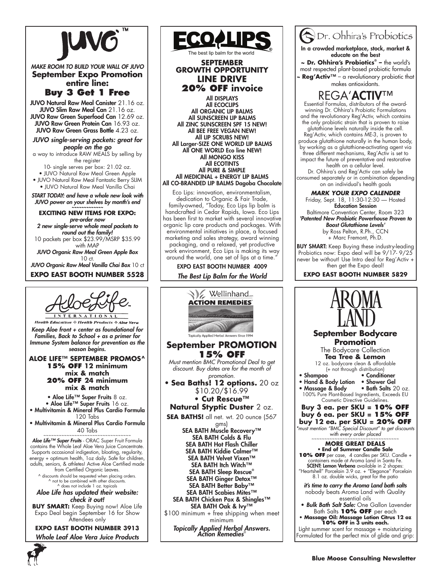

*MAKE ROOM TO BUILD YOUR WALL OF JUVO* **September Expo Promotion entire line:** 

**Buy 3 Get 1 Free**

JUVO Natural Raw Meal Canister 21.16 oz. JUVO Slim Raw Meal Can 21.16 oz. JUVO Raw Green Superfood Can 12.69 oz. JUVO Raw Green Protein Can 16.93 oz. JUVO Raw Green Grass Bottle 4.23 oz.

*JUVO single-serving packets: great for people on the go*

a way to introduce RAW MEALS by selling by the register

10- single serves per box: 21.02 oz.

• JUVO Natural Raw Meal Green Apple • JUVO Natural Raw Meal Fantastic Berry SLIM • JUVO Natural Raw Meal Vanilla Chai

*START TODAY: and have a whole new look with JUVO power on your shelves by month's end ~~~~~~~~~~~~~*

**EXCITING NEW ITEMS FOR EXPO:** 

*pre-order now 2 new single-serve whole meal packets to round out the family!*  10 packets per box \$23.99/MSRP \$35.99 with MAP

*JUVO Organic Raw Meal Green Apple Box*  10 ct.

*JUVO Organic Raw Meal Vanilla Chai Box* 10 ct **EXPO EAST BOOTH NUMBER 5528**



**Health Education & Health Products & Aloe Vera** *Keep Aloe front + center as foundational for Families, Back to School + as a primer for Immune System balance for prevention as the season begins.*

#### **Aloe Life™ September Promos^ 15% OFF 12 minimum mix & match 20% OFF 24 minimum mix & match**

• Aloe Life™ Super Fruits 8 oz.

• Aloe Life™ Super Fruits 16 oz.

• Multivitamin & Mineral Plus Cardio Formula 120 Tabs

• Multivitamin & Mineral Plus Cardio Formula  $40$  Tabs

*Aloe Life™ Super Fruits* - ORAC Super Fruit Formula contains the Whole Leaf Aloe Vera Juice Concentrate. Supports occasional indigestion, bloating, regularity, energy + optimum health, 1oz daily. Safe for children, adults, seniors, & athletes! Active Aloe Certified made from Certified Organic Leaves.

^ discounts should be requested when placing orders. ^ not to be combined with other discounts. ^ does not include 1 oz. topicals

*Aloe Life has updated their website: check it out!*

**BUY SMART:** Keep Buying now! Aloe Life Expo Deal begin September 16 for Show Attendees only

**EXPO EAST BOOTH NUMBER 3913** *Whole Leaf Aloe Vera Juice Products*



The best lip balm for the world

**SEPTEMBER GROWTH OPPORTUNITY LINE DRIVE 20% OFF invoice**

All DISPLAYS All ECOCLIPS All ORGANIC LIP BALMS All SUNSCREEN LIP BALMS All ZINC SUNSCREEN SPF 15 NEW! All BEE FREE VEGAN NEW! All LIP SCRUBS NEW! All Larger-SIZE ONE WORLD LIP BALMS All ONE WORLD Eco line NEW! All MONGO KISS All ECOTINTS All PURE & SIMPLE All MEDICINAL + ENERGY LIP BALMS All CO-BRANDED LIP BALMS Dagoba Chocolate

Eco Lips: innovation, environmentalism, dedication to Organic & Fair Trade, family-owned, "Today, Eco Lips lip balm is handcrafted in Cedar Rapids, Iowa. Eco Lips has been first to market with several innovative organic lip care products and packages. With environmental initiatives in place, a focused marketing and sales strategy, award winning packaging, and a relaxed, yet productive work environment, Eco Lips is making its way around the world, one set of lips at a time.'

EXPO EAST BOOTH NUMBER 4009

*The Best Lip Balm for the World*



 $\partial D$ r. Ohhira's Probiotics

In a crowded marketplace, stock, market & educate on the best

**~ Dr. Ohhira's Probiotics® –** the world's most respected plant-based probiotic formula ~ **Reg'Activ**™ – a revolutionary probiotic that

makes antioxidants.



Essential Formulas, distributors of the awardwinning Dr. Ohhira's Probiotic Formulations and the revolutionary Reg'Activ, which contains the only probiotic strain that is proven to raise glutathione levels naturally inside the cell.

Reg'Activ, which contains ME-3, is proven to produce glutathione naturally in the human body, by working as a glutathione-activating agent via three different mechanisms, Reg'Activ is set to impact the future of preventative and restorative

health on a cellular level. Dr. Ohhira's and Reg'Activ can safely be consumed separately or in combination depending on an individual's health goals

*MARK YOUR EXPO CALENDER*

Friday, Sept. 18, 11:30-12:30 — Hosted Education Session

Baltimore Convention Center, Room 323 *'Patented New Probiotic Powerhouse Proven to Boost Glutathione Levels'* by Ross Pelton, R.Ph., CCN + Marc Fremont, Ph.D.

**BUY SMART:** Keep Buying these industry-leading Probiotics now: Expo deal will be 9/17-9/25 never be without! Use Intro deal for Reg'Activ + then get the Expo deal!

**EXPO EAST BOOTH NUMBER 5829**

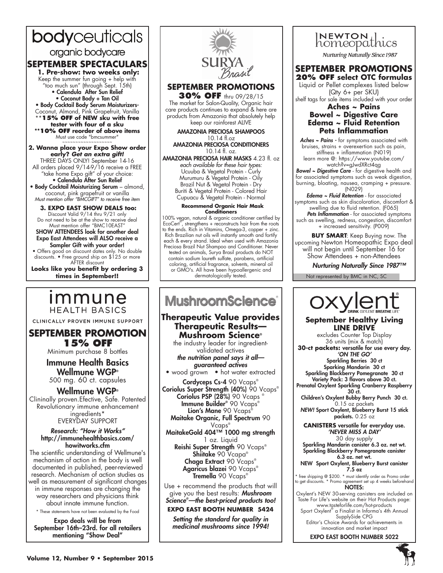# bodyceuticals organic bodycare

# **SEPTEMBER SPECTACULARS**

 **1. Pre-show: two weeks only:** Keep the summer fun going + help with "too much sun" (through Sept. 15th) • Calendula After Sun Relief • Coconut Body + Tan Oil • Body Cocktail Body Serum Moisturizers-Coconut, Almond, Pink Grapefruit, Vanilla \*\***15% off of NEW sku with free tester with four of a sku \*\*10% off reorder of above items**  Must use code "bmcsummer"

**2. Wanna place your Expo Show order early?** *Get an extra gift!*  THREE DAYS ONLY! September 14-16

All orders placed 9/14-9/16 receive a FREE "take home Expo gift" of your choice: • Calendula After Sun Relief

• Body Cocktail Moisturizing Serum – almond, coconut, pink grapefruit or vanilla *Must mention offer "BMCGIFT" to receive free item*

 **3. EXPO EAST SHOW DEALS too:**  Discount Valid 9/14 thru 9/21 only Do not need to be at the show to receive deal Must mention offer "BMC10EAST"

SHOW ATTENDEES look for another deal Expo East Attendees will ALSO receive a Sampler Gift with your order! • Offers good on discount dates only. No double

discounts. • Free ground ship on \$125 or more AFTER discount

**Looks like you benefit by ordering 3 times in September!!**

# <u>Immune</u> **HEALTH BASICS**

CLINICALLY PROVEN IMMUNE SUPPORT

**SEPTEMBER PROMOTION 15% OFF**

Minimum purchase 8 bottles

Immune Health Basics Wellmune WGP® 500 mg. 60 ct. capsules

Wellmune WGP® Clininally proven.Efective, Safe. Patented Revolutionary immune enhancement ingredients\* EVERYDAY SUPPORT

#### *Research: "How it Works"* http://immunehealthbasics.com/ howitworks.cfm

The scientific understanding of Wellmune's mechanism of action in the body is well documented in published, peer-reviewed research. Mechanism of action studies as well as measurement of significant changes in immune responses are changing the way researchers and physicians think about innate immune function.

\* These statements have not been evaluated by the Food

Expo deals will be from September 16th–23rd. for all retailers mentioning "Show Deal"



**SEPTEMBER PROMOTIONS**

**30% OFF** thru 09/28/15 The market for Salon-Quality, Organic hair care products continues to expand & here are products from Amazonia that absolutely help keep our rainforest ALIVE

AMAZONIA PRECIOSA SHAMPOOS 10.14 fl.oz AMAZONIA PRECIOSA CONDITIONERS

10.14 fl. oz.

AMAZONIA PRECIOSA HAIR MASKS 4.23 fl. oz *each available for these hair types:* Ucuuba & Vegetal Protein - Curly Murumuru & Vegetal Protein - Oily Brazil Nut & Vegetal Protein - Dry Buriti & Vegetal Protein - Colored Hair Cupuacu & Vegetal Protein - Normal

#### **Recommend Organic Hair Mask Conditioners**

100% vegan, natural & organic conditioner certified by EcoCert<sup>®</sup>, strengthens + reconstructs hair from the roots to the ends. Rich in Vitamins, Omega-3, copper + zinc. Rich Brazilian nut oils will instantly smooth and fortify each & every strand. Ideal when used with Amazonia Preciosa Brazil Nut Shampoo and Conditioner. Never tested on animals, Surya Brasil products do NOT contain sodium laureth sulfate, parabens, artificial coloring, artificial fragrance, solvents, mineral oil or GMO's. All have been hypoallergenic and dermatologically tested.

# **MushroomScience**®

# **Therapeutic Value provides Therapeutic Results— Mushroom Science®**

the industry leader for ingredientvalidated actives

*the nutrition panel says it all guaranteed actives*

• wood grown • hot water extracted

Cordyceps Cs-4 90 Vcaps® Coriolus Super Strength (40%) 90 Vcaps® Coriolus PSP (28%) 90 Vcaps Immune Builder® 90 Vcaps® Lion's Mane 90 Vcaps<sup>®</sup> Maitake Organic, Full Spectrum 90

Vcaps® MaitakeGold 404™ 1000 mg strength 1 oz. Liquid Reishi Super Strength 90 Vcaps® Shiitake 90 Vcapa® Chaga Extract 90 Vcaps® Agaricus blazei 90 Vcaps® Tremella 90 Vcaps®

Use + recommend the products that will give you the best results: *Mushroom Science® —the best-priced products too!*

**EXPO EAST BOOTH NUMBER 5424**

*Setting the standard for quality in medicinal mushrooms since 1994!*

# INEWTON thics

**Nurturing Naturally Since 1987** 

# **SEPTEMBER PROMOTIONS 20% OFF select OTC formulas**

Liquid or Pellet complexes listed below (Qty 6+ per SKU)

shelf tags for sale items included with your order

### **Aches ~ Pains Bowel ~ Digestive Care Edema ~ Fluid Retention Pets Inflammation**

*Aches ~ Pains -* for symptoms associated with bruises, strains + overexertion such as pain, stiffness + inflammation (N019) learn more @: https://www.youtube.com/ watch?v=gJwdXRct4qg

*Bowel ~ Digestive Care* - for digestive health and for associated symptoms such as weak digestion, burning, bloating, nausea, cramping + pressure. (N029)

*Edema ~ Fluid Retention* - for associated symptoms such as skin discoloration, discomfort & swelling due to fluid retention. (F065) *Pets Inflammation* - for associated symptoms such as swelling, redness, congestion, discomfort + increased sensitivity. (P009)

**BUY SMART**: Keep Buying now. The upcoming Newton Homeopathic Expo deal will not begin until September 16 for Show Attendees + non-Attendees

*Nurturing Naturally Since 1987™*

Not represented by BMC in NC, SC



### **September Healthy Living LINE DRIVE**

excludes Counter Top Display 36 units (mix & match) **30-ct packets:** versatile for use every day. *'ON THE GO'* Sparkling Berries 30 ct Sparking Mandarin 30 ct Sparkling Blackberry Pomegranate 30 ct Variety Pack: 3 flavors above 30 ct. Prenatal Oxylent Sparkling Cranberry Raspberry 30 ct. Children's Oxylent Bubby Berry Punch 30 ct. 0.15 oz packets

*NEW!* Sport Oxylent, Blueberry Burst 15 stick packets. 0.25 oz

**CANISTERS** versatile for everyday use. *'NEVER MISS A DAY'*

30 day supply Sparkling Mandarin canister 6.3 oz. net wt. Sparkling Blackberry Pomegranate canister 6.3 oz. net wt.

NEW Sport Oxylent, Blueberry Burst canister 7.5 oz

\* free shipping @ \$200. \* must identify order as Promo order to get discounts. \* Promo agreement set up 4 weeks beforehand NOTES:

Oxylent's NEW 30-serving canisters are included on Taste For Life's website on their Hot Products page: www.tasteforlife.com/hot-products

Sport Oxylent® a Finalist in Informa's 4th Annual SupplySide CPG Editor's Choice Awards for achievements in

innovation and market impact

EXPO EAST BOOTH NUMBER 5022

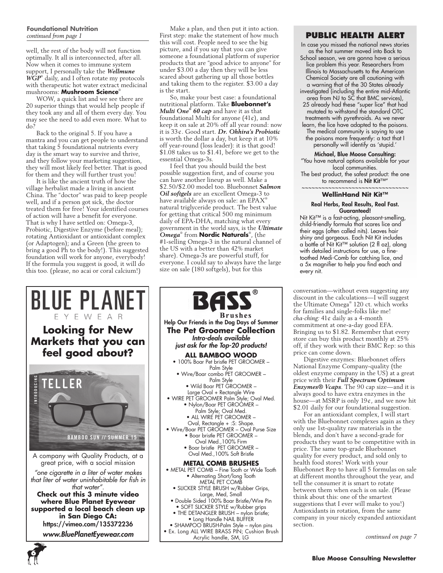#### **Foundational Nutrition**  *continued from page 1*

well, the rest of the body will not function optimally. It all is interconnected, after all. Now when it comes to immune system support, I personally take the *Wellmune WGP*® daily, and I often rotate my protocols with therapeutic hot water extract medicinal mushrooms: **Mushroom Science**®

WOW, a quick list and we see there are 20 superior things that would help people if they took any and all of them every day. You may see the need to add even more. What to do?

Back to the original 5. If you have a mantra and you can get people to understand that taking 5 foundational nutrients every day is the smart way to survive and thrive, and they follow your marketing suggestion, they will most likely feel better. That is good for them and they will further trust you!

It is like the ancient truth of how the village herbalist made a living in ancient China. The "doctor" was paid to keep people well, and if a person got sick, the doctor treated them for free! Your identified courses of action will have a benefit for everyone. That is why I have settled on: Omega-3, Probiotic, Digestive Enzyme (before meal); rotating Antioxidant or antioxidant complex (or Adaptogen); and a Green (the green to bring a good Ph to the body!). This suggested foundation will work for anyone, everybody! If the formula you suggest is good, it will do this too. (please, no acai or coral calcium!)

Make a plan, and then put it into action. First step: make the statement of how much this will cost. People need to see the big picture, and if you say that you can give someone a foundational platform of superior products that are "good advice to anyone" for under \$3.00 a day then they will be less scared about gathering up all those bottles and taking them to the register. \$3.00 a day is the start.

So, make your best case: a foundational nutritional platform. Take **Bluebonnet's** *Multi One® 60 cap* and have it as that foundational Multi for anyone  $(41¢)$ , and keep it on sale at 20% off all year round: now it is 33¢. Good start. *Dr. Ohhira's Probiotic* is worth the dollar a day, but keep it at 10% off year-round (loss leader): it is that good! \$1.08 takes us to \$1.41, before we get to the essential Omega-3s.

I feel that you should build the best possible suggestion first, and of course you can have another lineup as well. Make a \$2.50/\$2.00 model too. Bluebonnet *Salmon Oil softgels* are an excellent Omega-3 to have available always on sale: an EPAX® natural triglyceride product. The best value for getting that critical 500 mg minimum daily of EPA-DHA, matching what every government in the world says, is the *Ultimate Omega*® from **Nordic Naturals**® , (the #1-selling Omega-3 in the natural channel of the US with a better than 42% market share). Omega-3s are powerful stuff, for everyone. I could say to always have the large size on sale (180 softgels), but for this



**6**

**BASS Brushes** Help Our Friends in the Dog Days of Summer **The Pet Groomer Collection** *Intro-deals available just ask for the Top-20 products!* **ALL BAMBOO WOOD** • 100% Boar Pet bristle PET GROOMER – Palm Style • Wire/Boar combo PET GROOMER – Palm Style • Wild Boar PET GROOMER – Large Oval + Rectangle Wire • WIRE PET GROOMER Palm Style; Oval Med. • Nylon/Boar PET GROÓMER -Palm Style; Oval Med. • ALL WIRE PET GROOMER – Oval, Rectangle + :S: Shape. • Wire/Boar PET GROOMER – Oval Purse Size • Boar bristle PET GROOMER – Oval Med.,100% Firm • Boar bristle PET GROOMER – Oval Med.,100% Soft Bristle **METAL COMB BRUSHES** • METAL PET COMB – Fine Tooth or Wide Tooth • Alternating Short/long Tooth METAL PET COMB • SLICKER STYLE BRUSH w/Rubber Grips, Large, Med, Small • Double Sided 100% Boar Bristle/Wire Pin • SOFT SLICKER STYLE w/Rubber grips • THE DETANGLER BRUSH – nylon bristle; • Long Handle NAIL BUFFER • SHAMPOO BRUSH-Palm Style – nylon pins

#### • Ex. Long ALL WIRE BRASS PIN; Cushion Brush Acrylic handle, SM, LG

# **PUBLIC HEALTH ALERT**

- In case you missed the national news stories as the hot summer moved into Back to
- School season, we are gonna have a serious lice problem this year. Researchers from Illinois to Massachusetts to the American Chemical Society are all cautioning with a warning that of the 30 States already investigated (including the entire mid-Atlantic area from NJ to SC that BMC services), 25 already had these "super lice" that had mutated to withstand the standard OTC treatments with pyrethroids. As we never learn, the lice have adapted to the poisons.
	- The medical community is saying to use the poisons more frequently: a tact that I personally will identify as 'stupid.'

#### Michael, Blue Moose Consulting: "You have natural options available for your local communities. The best product, the safest product: the one to recommend is Nit Kit™"

#### ~~~~~~~~~~~~~~~~~~~~~~~~~~~~ **WellinHand Nit Kit™**

#### Real Herbs, Real Results, Real Fast. Guaranteed!

Nit Kit™ is a fast-acting, pleasant-smelling, child-friendly formula that scares lice and their eggs (often called nits). Leaves hair shiny and gorgeous. Each Nit Kit includes a bottle of Nit Kit™ solution (2 fl oz), along with detailed instructions for use, a finetoothed Medi-Comb for catching lice, and a 5x magnifier to help you find each and every nit.

conversation—without even suggesting any discount in the calculations—I will suggest the Ultimate Omega® 120 ct. which works for families and single-folks like me! *cha-ching:* 41¢ daily as a 4-month commitment at one-a-day good EFA. Bringing us to \$1.82. Remember that every store can buy this product monthly at 25% off, if they work with their BMC Rep: so this price can come down.

Digestive enzymes: Bluebonnet offers National Enzyme Company-quality (the oldest enzyme company in the US) at a great price with their *Full Spectrum Optimum Enzymes® Vcaps*. The 90 cap size—and it is always good to have extra enzymes in the house—at MSRP is only 19¢, and we now hit \$2.01 daily for our foundational suggestion.

For an antioxidant complex, I will start with the Bluebonnet complexes again as they only use 1st-quality raw materials in the blends, and don't have a second-grade for products they want to be competitive with in price. The same top-grade Bluebonnet quality for every product, and sold only to health food stores! Work with your Bluebonnet Rep to have all 5 formulas on sale at different months throughout the year, and tell the consumer it is smart to rotate between them when each is on sale. (Please think about this: one of the smartest suggestions that I ever will make to you!) Antioxidants in rotation, from the same company in your nicely expanded antioxidant section.

*continued on page 7*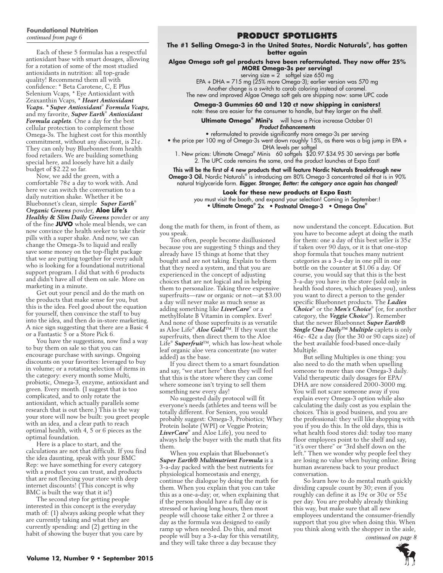# **Foundational Nutrition**

Each of these 5 formulas has a respectful antioxidant base with smart dosages, allowing for a rotation of some of the most studied antioxidants in nutrition: all top-grade quality! Recommend them all with confidence: \* Beta Carotene, C, E Plus Selenium Vcaps, \* Eye Antioxidant with Zeaxanthin Vcaps, \* *Heart Antioxidant Vcaps. \* Super Antioxidant*®  *Formula Vcaps,*  and my favorite, *Super Earth*®  *Antioxidant Formula caplets*. One a day for the best cellular protection to complement those Omega-3s. The highest cost for this monthly commitment, without any discount, is  $21¢$ . They can only buy Bluebonnet from health food retailers. We are building something special here, and loosely have hit a daily budget of \$2.22 so far.

Now, we add the green, with a comfortable 78¢ a day to work with. And here we can switch the conversation to a daily nutrition shake. Whether it be Bluebonnet's clean, simple *Super Earth*® *Organic Greens* powder, **Aloe Life's** *Healthy & Slim Daily Greens* powder or any of the fine **JUVO** whole meal blends, we can now convince the health seeker to take their pills with a super shake. And now, we can change the Omega-3s to liquid and really save some money on the top-flight package that we are putting together for every adult who is looking for a foundational nutritional support program. I did that with 6 products and didn't have all of them on sale. More on marketing in a minute.

Get out your pencil and do the math on the products that make sense for you, but this is the idea. Feel good about the equation for yourself, then convince the staff to buy into the idea, and then do in-store marketing. A nice sign suggesting that there are a Basic 4 or a Fantastic 5 or a Store Pick 6.

You have the suggestions, now find a way to buy them on sale so that you can encourage purchase with savings. Ongoing discounts on your favorites: leveraged to buy in volume; or a rotating selection of items in the category: every month some Multi, probiotic, Omega-3, enzyme, antioxidant and green. Every month. (I suggest that is too complicated, and to only rotate the antioxidant, which actually parallels some research that is out there.) This is the way your store will now be built: you greet people with an idea, and a clear path to reach optimal health, with 4, 5 or 6 pieces as the optimal foundation.

Here is a place to start, and the calculations are not that difficult. If you find the idea daunting, speak with your BMC Rep: we have something for every category with a product you can trust, and products that are not fleecing your store with deep internet discounts! (This concept is why BMC is built the way that it is!)

The second step for getting people interested in this concept is the everyday math of: (1) always asking people what they are currently taking and what they are currently spending: and (2) getting in the habit of showing the buyer that you care by

# *continued from page 6* **Product Spotlights**

**The #1 Selling Omega-3 in the United States, Nordic Naturals® , has gotten better again**

**Algae Omega soft gel products have been reformulated. They now offer 25% MORE Omega-3s per serving!**

serving size =  $2$  softgel size 650 mg

EPA + DHA = 715 mg (25% more Omega-3); earlier version was 570 mg Another change is a switch to carob coloring instead of caramel.

The new and improved Algae Omega soft gels are shipping now: same UPC code

**Omega-3 Gummies 60 and 120 ct now shipping in canisters!**

note: these are easier for the consumer to handle, but they larger on the shelf.

**Ultimate Omega® Mini's** will have a Price increase October 01 *Product Enhancements*

• reformulated to provide significantly more omega-3s per serving

• the price per 100 mg of Omega-3s went down roughly 15%, as there was a big jump in EPA + DHA levels per softgel

1. New prices: Ultimate Omega® Minis 60 softgels \$20.97.\$34.95 30 servings per bottle 2. The UPC code remains the same, and the product launches at Expo East!

This will be the first of 4 new products that will feature Nordic Naturals Breakthrough new **Omega-3 Oil.** Nordic Naturals® is introducing am 80% Omega-3 concentrated oil that is in 90% natural triglyceride form. *Bigger. Stronger, Better: the category once again has changed!*

**Look for these new products at Expo East:** you must visit the booth, and expand your selection! Coming in September:! • Ultimate Omega® 2x • Postnatal Omega-3 • Omega One®

dong the math for them, in front of them, as you speak.

Too often, people become disillusioned because you are suggesting 5 things and they already have 15 things at home that they bought and are not taking. Explain to them that they need a system, and that you are experienced in the concept of adjusting choices that are not logical and in helping them to personalize. Taking three expensive superfruits—raw or organic or not—at \$3.00 a day will never make as much sense as adding something like *LiverCare*® or a methylfolate B Vitamin in complex. Ever! And none of those superfruits is as versatile as Aloe Life® *Aloe Gold*™. If they want the superfruits, then direct them to the Aloe Life® *Superfruit*™, which has low-heat whole leaf organic aloe vera concentrate (no water added) as the base.

If you direct them to a smart foundation and say, "we start here" then they will feel that this is the store where they can come where someone isn't trying to sell them something new every day!

No suggested daily protocol will fit everyone's needs (athletes and teens will be totally different. For Seniors, you would probably suggest: Omega-3, Probiotics; Whey Protein Isolate (WPI) or Veggie Protein; *LiverCare*® and Aloe Life), you need to always help the buyer with the math that fits them.

When you explain that Bluebonnet's *Super Earth® Multinutrient Formula* is a 3-a-day packed with the best nutrients for physiological homeostasis and energy, continue the dialogue by doing the math for them. When you explain that you can take this as a one-a-day; or, when explaining that if the person should have a full day or is stressed or having long hours, then most people will choose take either 2 or three a day as the formula was designed to easily ramp up when needed. Do this, and most people will buy a 3-a-day for this versatility, and they will take three a day because they

now understand the concept. Education. But you have to become adept at doing the math for them: one a day of this best seller is  $35¢$ if taken over 90 days, or it is that one-stop shop formula that touches many nutrient categories as a 3-a-day in one pill in one bottle on the counter at \$1.06 a day. Of course, you would say that this is the best 3-a-day you have in the store (sold only in health food stores, which pleases you), unless you want to direct a person to the gender specific Bluebonnet products. The *Ladies Choice*® or the *Men's Choice*® (or, for another category, the *Veggie Choice*® ). Remember that the newer Bluebonnet *Super Earth® Single One Daily™ Multiple* caplets is only  $46\overline{e}$ -  $42\overline{e}$  a day (for the 30 or 90 caps size) of the best available food-based once-daily Multiple.

But selling Multiples is one thing: you also need to do the math when upselling someone to more than one Omega-3 daily. Valid therapeutic daily dosages for EPA/ DHA are now considered 2000-3000 mg. You will not scare someone away if you explain every Omega-3 option while also calculating the daily cost as you explain the choices. This is good business, and you are the professional: they will like shopping with you if you do this. In the old days, this is what health food stores did: today too many floor employees point to the shelf and say, "it's over there" or "3rd shelf down on the left." Then we wonder why people feel they are losing no value when buying online. Bring human awareness back to your product conversation.

So learn how to do mental math quickly dividing capsule count by 30; even if you roughly can define it as  $19¢$  or  $30¢$  or  $55¢$ per day. You are probably already thinking this way, but make sure that all new employees understand the consumer-friendly support that you give when doing this. When you think along with the shopper in the aisle,

*continued on page 8*